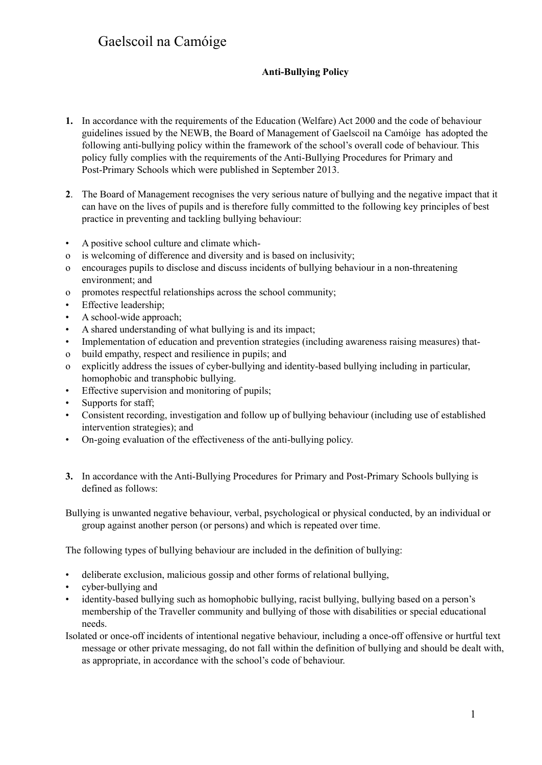### **Anti-Bullying Policy**

- **1.** In accordance with the requirements of the Education (Welfare) Act 2000 and the code of behaviour guidelines issued by the NEWB, the Board of Management of Gaelscoil na Camóige has adopted the following anti-bullying policy within the framework of the school's overall code of behaviour. This policy fully complies with the requirements of the Anti-Bullying Procedures for Primary and Post-Primary Schools which were published in September 2013.
- **2**. The Board of Management recognises the very serious nature of bullying and the negative impact that it can have on the lives of pupils and is therefore fully committed to the following key principles of best practice in preventing and tackling bullying behaviour:
- A positive school culture and climate which-
- o is welcoming of difference and diversity and is based on inclusivity;
- o encourages pupils to disclose and discuss incidents of bullying behaviour in a non-threatening environment; and
- o promotes respectful relationships across the school community;
- Effective leadership;
- A school-wide approach;
- A shared understanding of what bullying is and its impact;
- Implementation of education and prevention strategies (including awareness raising measures) that-
- o build empathy, respect and resilience in pupils; and
- o explicitly address the issues of cyber-bullying and identity-based bullying including in particular, homophobic and transphobic bullying.
- Effective supervision and monitoring of pupils;
- Supports for staff;
- Consistent recording, investigation and follow up of bullying behaviour (including use of established intervention strategies); and
- On-going evaluation of the effectiveness of the anti-bullying policy.
- **3.** In accordance with the Anti-Bullying Procedures for Primary and Post-Primary Schools bullying is defined as follows:

Bullying is unwanted negative behaviour, verbal, psychological or physical conducted, by an individual or group against another person (or persons) and which is repeated over time.

The following types of bullying behaviour are included in the definition of bullying:

- deliberate exclusion, malicious gossip and other forms of relational bullying,
- cyber-bullying and
- identity-based bullying such as homophobic bullying, racist bullying, bullying based on a person's membership of the Traveller community and bullying of those with disabilities or special educational needs.
- Isolated or once-off incidents of intentional negative behaviour, including a once-off offensive or hurtful text message or other private messaging, do not fall within the definition of bullying and should be dealt with, as appropriate, in accordance with the school's code of behaviour.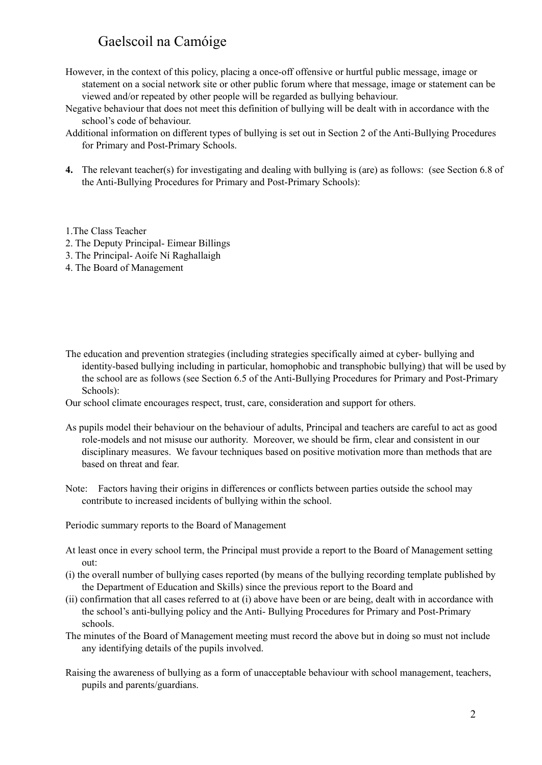- However, in the context of this policy, placing a once-off offensive or hurtful public message, image or statement on a social network site or other public forum where that message, image or statement can be viewed and/or repeated by other people will be regarded as bullying behaviour.
- Negative behaviour that does not meet this definition of bullying will be dealt with in accordance with the school's code of behaviour.
- Additional information on different types of bullying is set out in Section 2 of the Anti-Bullying Procedures for Primary and Post-Primary Schools.
- **4.** The relevant teacher(s) for investigating and dealing with bullying is (are) as follows: (see Section 6.8 of the Anti-Bullying Procedures for Primary and Post-Primary Schools):
- 1.The Class Teacher
- 2. The Deputy Principal- Eimear Billings
- 3. The Principal- Aoife Ní Raghallaigh
- 4. The Board of Management
- The education and prevention strategies (including strategies specifically aimed at cyber- bullying and identity-based bullying including in particular, homophobic and transphobic bullying) that will be used by the school are as follows (see Section 6.5 of the Anti-Bullying Procedures for Primary and Post-Primary Schools):

Our school climate encourages respect, trust, care, consideration and support for others.

- As pupils model their behaviour on the behaviour of adults, Principal and teachers are careful to act as good role-models and not misuse our authority. Moreover, we should be firm, clear and consistent in our disciplinary measures. We favour techniques based on positive motivation more than methods that are based on threat and fear.
- Note: Factors having their origins in differences or conflicts between parties outside the school may contribute to increased incidents of bullying within the school.

Periodic summary reports to the Board of Management

- At least once in every school term, the Principal must provide a report to the Board of Management setting out:
- (i) the overall number of bullying cases reported (by means of the bullying recording template published by the Department of Education and Skills) since the previous report to the Board and
- (ii) confirmation that all cases referred to at (i) above have been or are being, dealt with in accordance with the school's anti-bullying policy and the Anti- Bullying Procedures for Primary and Post-Primary schools.
- The minutes of the Board of Management meeting must record the above but in doing so must not include any identifying details of the pupils involved.
- Raising the awareness of bullying as a form of unacceptable behaviour with school management, teachers, pupils and parents/guardians.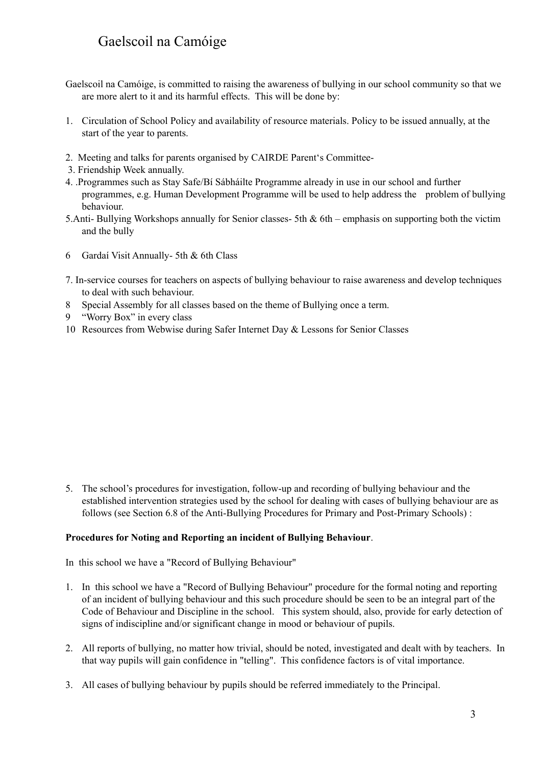- Gaelscoil na Camóige, is committed to raising the awareness of bullying in our school community so that we are more alert to it and its harmful effects. This will be done by:
- 1. Circulation of School Policy and availability of resource materials. Policy to be issued annually, at the start of the year to parents.
- 2. Meeting and talks for parents organised by CAIRDE Parent's Committee-
- 3. Friendship Week annually.
- 4. .Programmes such as Stay Safe/Bí Sábháilte Programme already in use in our school and further programmes, e.g. Human Development Programme will be used to help address the problem of bullying behaviour.
- 5.Anti- Bullying Workshops annually for Senior classes- 5th & 6th emphasis on supporting both the victim and the bully
- 6 Gardaí Visit Annually- 5th & 6th Class
- 7. In-service courses for teachers on aspects of bullying behaviour to raise awareness and develop techniques to deal with such behaviour.
- 8 Special Assembly for all classes based on the theme of Bullying once a term.
- 9 "Worry Box" in every class
- 10 Resources from Webwise during Safer Internet Day & Lessons for Senior Classes

5. The school's procedures for investigation, follow-up and recording of bullying behaviour and the established intervention strategies used by the school for dealing with cases of bullying behaviour are as follows (see Section 6.8 of the Anti-Bullying Procedures for Primary and Post-Primary Schools) :

#### **Procedures for Noting and Reporting an incident of Bullying Behaviour**.

In this school we have a "Record of Bullying Behaviour"

- 1. In this school we have a "Record of Bullying Behaviour" procedure for the formal noting and reporting of an incident of bullying behaviour and this such procedure should be seen to be an integral part of the Code of Behaviour and Discipline in the school. This system should, also, provide for early detection of signs of indiscipline and/or significant change in mood or behaviour of pupils.
- 2. All reports of bullying, no matter how trivial, should be noted, investigated and dealt with by teachers. In that way pupils will gain confidence in "telling". This confidence factors is of vital importance.
- 3. All cases of bullying behaviour by pupils should be referred immediately to the Principal.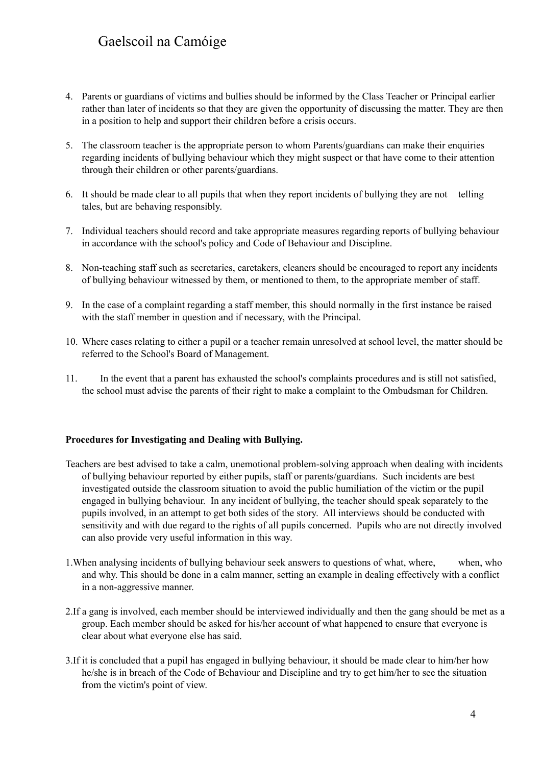- 4. Parents or guardians of victims and bullies should be informed by the Class Teacher or Principal earlier rather than later of incidents so that they are given the opportunity of discussing the matter. They are then in a position to help and support their children before a crisis occurs.
- 5. The classroom teacher is the appropriate person to whom Parents/guardians can make their enquiries regarding incidents of bullying behaviour which they might suspect or that have come to their attention through their children or other parents/guardians.
- 6. It should be made clear to all pupils that when they report incidents of bullying they are not telling tales, but are behaving responsibly.
- 7. Individual teachers should record and take appropriate measures regarding reports of bullying behaviour in accordance with the school's policy and Code of Behaviour and Discipline.
- 8. Non-teaching staff such as secretaries, caretakers, cleaners should be encouraged to report any incidents of bullying behaviour witnessed by them, or mentioned to them, to the appropriate member of staff.
- 9. In the case of a complaint regarding a staff member, this should normally in the first instance be raised with the staff member in question and if necessary, with the Principal.
- 10. Where cases relating to either a pupil or a teacher remain unresolved at school level, the matter should be referred to the School's Board of Management.
- 11. In the event that a parent has exhausted the school's complaints procedures and is still not satisfied, the school must advise the parents of their right to make a complaint to the Ombudsman for Children.

#### **Procedures for Investigating and Dealing with Bullying.**

- Teachers are best advised to take a calm, unemotional problem-solving approach when dealing with incidents of bullying behaviour reported by either pupils, staff or parents/guardians. Such incidents are best investigated outside the classroom situation to avoid the public humiliation of the victim or the pupil engaged in bullying behaviour. In any incident of bullying, the teacher should speak separately to the pupils involved, in an attempt to get both sides of the story. All interviews should be conducted with sensitivity and with due regard to the rights of all pupils concerned. Pupils who are not directly involved can also provide very useful information in this way.
- 1.When analysing incidents of bullying behaviour seek answers to questions of what, where, when, who and why. This should be done in a calm manner, setting an example in dealing effectively with a conflict in a non-aggressive manner.
- 2.If a gang is involved, each member should be interviewed individually and then the gang should be met as a group. Each member should be asked for his/her account of what happened to ensure that everyone is clear about what everyone else has said.
- 3.If it is concluded that a pupil has engaged in bullying behaviour, it should be made clear to him/her how he/she is in breach of the Code of Behaviour and Discipline and try to get him/her to see the situation from the victim's point of view.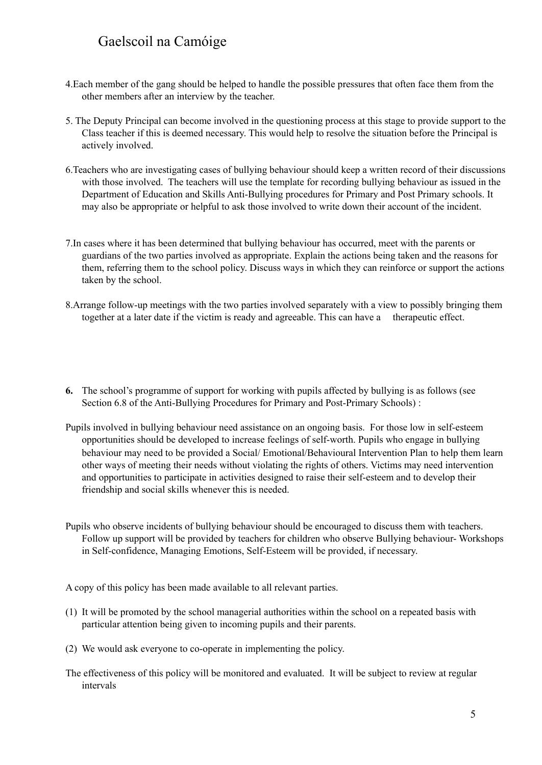- 4.Each member of the gang should be helped to handle the possible pressures that often face them from the other members after an interview by the teacher.
- 5. The Deputy Principal can become involved in the questioning process at this stage to provide support to the Class teacher if this is deemed necessary. This would help to resolve the situation before the Principal is actively involved.
- 6.Teachers who are investigating cases of bullying behaviour should keep a written record of their discussions with those involved. The teachers will use the template for recording bullying behaviour as issued in the Department of Education and Skills Anti-Bullying procedures for Primary and Post Primary schools. It may also be appropriate or helpful to ask those involved to write down their account of the incident.
- 7.In cases where it has been determined that bullying behaviour has occurred, meet with the parents or guardians of the two parties involved as appropriate. Explain the actions being taken and the reasons for them, referring them to the school policy. Discuss ways in which they can reinforce or support the actions taken by the school.
- 8.Arrange follow-up meetings with the two parties involved separately with a view to possibly bringing them together at a later date if the victim is ready and agreeable. This can have a therapeutic effect.
- **6.** The school's programme of support for working with pupils affected by bullying is as follows (see Section 6.8 of the Anti-Bullying Procedures for Primary and Post-Primary Schools) :
- Pupils involved in bullying behaviour need assistance on an ongoing basis. For those low in self-esteem opportunities should be developed to increase feelings of self-worth. Pupils who engage in bullying behaviour may need to be provided a Social/ Emotional/Behavioural Intervention Plan to help them learn other ways of meeting their needs without violating the rights of others. Victims may need intervention and opportunities to participate in activities designed to raise their self-esteem and to develop their friendship and social skills whenever this is needed.
- Pupils who observe incidents of bullying behaviour should be encouraged to discuss them with teachers. Follow up support will be provided by teachers for children who observe Bullying behaviour- Workshops in Self-confidence, Managing Emotions, Self-Esteem will be provided, if necessary.

A copy of this policy has been made available to all relevant parties.

- (1) It will be promoted by the school managerial authorities within the school on a repeated basis with particular attention being given to incoming pupils and their parents.
- (2) We would ask everyone to co-operate in implementing the policy.
- The effectiveness of this policy will be monitored and evaluated. It will be subject to review at regular intervals